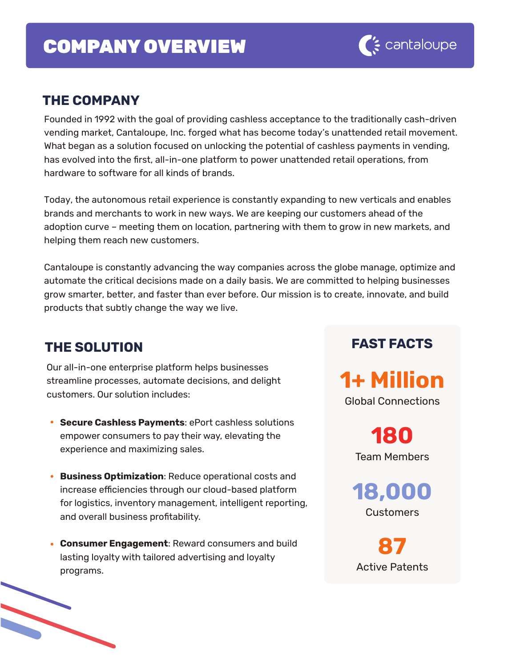# COMPANY OVERVIEW

### **THE COMPANY**

Founded in 1992 with the goal of providing cashless acceptance to the traditionally cash-driven vending market, Cantaloupe, Inc. forged what has become today's unattended retail movement. What began as a solution focused on unlocking the potential of cashless payments in vending, has evolved into the first, all-in-one platform to power unattended retail operations, from hardware to software for all kinds of brands.

Today, the autonomous retail experience is constantly expanding to new verticals and enables brands and merchants to work in new ways. We are keeping our customers ahead of the adoption curve – meeting them on location, partnering with them to grow in new markets, and helping them reach new customers.

Cantaloupe is constantly advancing the way companies across the globe manage, optimize and automate the critical decisions made on a daily basis. We are committed to helping businesses grow smarter, better, and faster than ever before. Our mission is to create, innovate, and build products that subtly change the way we live.

### **THE SOLUTION**

Our all-in-one enterprise platform helps businesses streamline processes, automate decisions, and delight customers. Our solution includes:

- **Secure Cashless Payments**: ePort cashless solutions empower consumers to pay their way, elevating the experience and maximizing sales.
- **Business Optimization**: Reduce operational costs and increase efficiencies through our cloud-based platform for logistics, inventory management, intelligent reporting, and overall business profitability.
- **Consumer Engagement**: Reward consumers and build lasting loyalty with tailored advertising and loyalty programs.

# **FAST FACTS**

**1+ Million** Global Connections

> **180** Team Members

**18,000 Customers** 

**87** Active Patents